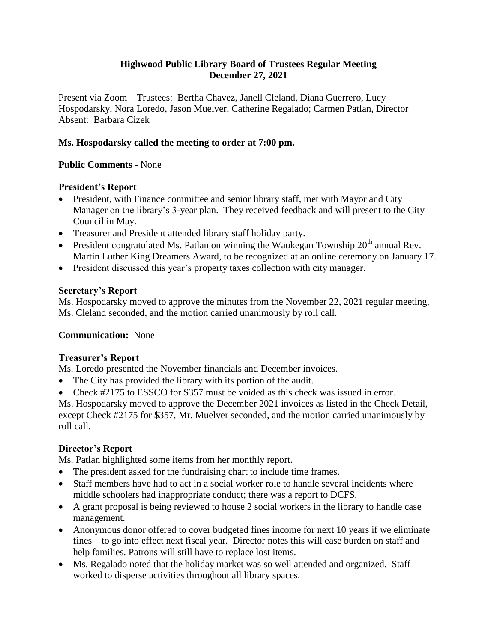### **Highwood Public Library Board of Trustees Regular Meeting December 27, 2021**

Present via Zoom—Trustees: Bertha Chavez, Janell Cleland, Diana Guerrero, Lucy Hospodarsky, Nora Loredo, Jason Muelver, Catherine Regalado; Carmen Patlan, Director Absent: Barbara Cizek

## **Ms. Hospodarsky called the meeting to order at 7:00 pm.**

## **Public Comments** - None

## **President's Report**

- President, with Finance committee and senior library staff, met with Mayor and City Manager on the library's 3-year plan. They received feedback and will present to the City Council in May.
- Treasurer and President attended library staff holiday party.
- President congratulated Ms. Patlan on winning the Waukegan Township  $20<sup>th</sup>$  annual Rev. Martin Luther King Dreamers Award, to be recognized at an online ceremony on January 17.
- President discussed this year's property taxes collection with city manager.

## **Secretary's Report**

Ms. Hospodarsky moved to approve the minutes from the November 22, 2021 regular meeting, Ms. Cleland seconded, and the motion carried unanimously by roll call.

### **Communication:** None

### **Treasurer's Report**

Ms. Loredo presented the November financials and December invoices.

- The City has provided the library with its portion of the audit.
- Check #2175 to ESSCO for \$357 must be voided as this check was issued in error.

Ms. Hospodarsky moved to approve the December 2021 invoices as listed in the Check Detail, except Check #2175 for \$357, Mr. Muelver seconded, and the motion carried unanimously by roll call.

### **Director's Report**

Ms. Patlan highlighted some items from her monthly report.

- The president asked for the fundraising chart to include time frames.
- Staff members have had to act in a social worker role to handle several incidents where middle schoolers had inappropriate conduct; there was a report to DCFS.
- A grant proposal is being reviewed to house 2 social workers in the library to handle case management.
- Anonymous donor offered to cover budgeted fines income for next 10 years if we eliminate fines – to go into effect next fiscal year. Director notes this will ease burden on staff and help families. Patrons will still have to replace lost items.
- Ms. Regalado noted that the holiday market was so well attended and organized. Staff worked to disperse activities throughout all library spaces.